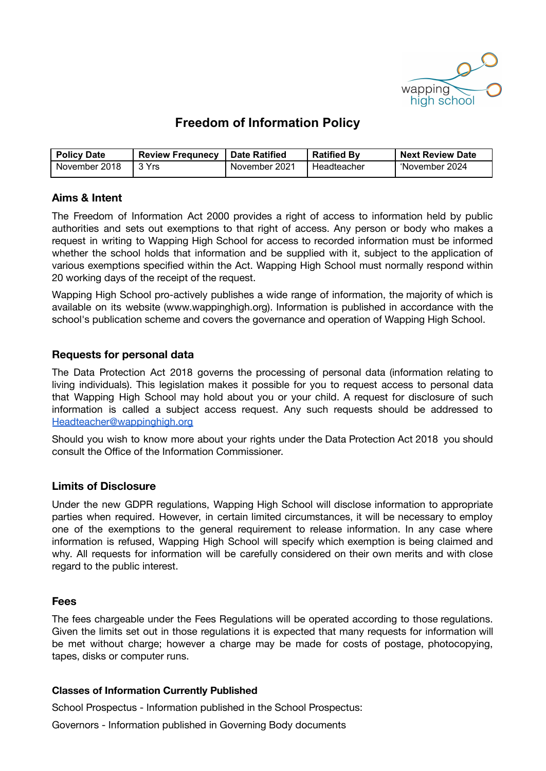

# **Freedom of Information Policy**

| <b>Policy Date</b> | ' Review Frequnecy   Date Ratified |               | <b>Ratified By</b> | <b>Next Review Date</b> ` |
|--------------------|------------------------------------|---------------|--------------------|---------------------------|
| November 2018      | l 3 Yrs                            | November 2021 | Headteacher        | 'November 2024            |

## **Aims & Intent**

The Freedom of Information Act 2000 provides a right of access to information held by public authorities and sets out exemptions to that right of access. Any person or body who makes a request in writing to Wapping High School for access to recorded information must be informed whether the school holds that information and be supplied with it, subject to the application of various exemptions specified within the Act. Wapping High School must normally respond within 20 working days of the receipt of the request.

Wapping High School pro-actively publishes a wide range of information, the majority of which is available on its website (www.wappinghigh.org). Information is published in accordance with the school's publication scheme and covers the governance and operation of Wapping High School.

### **Requests for personal data**

The Data Protection Act 2018 governs the processing of personal data (information relating to living individuals). This legislation makes it possible for you to request access to personal data that Wapping High School may hold about you or your child. A request for disclosure of such information is called a subject access request. Any such requests should be addressed to [Headteacher@wappinghigh.org](mailto:Headteacher@wappinghigh.org)

Should you wish to know more about your rights under the Data Protection Act 2018 you should consult the Office of the Information Commissioner.

### **Limits of Disclosure**

Under the new GDPR regulations, Wapping High School will disclose information to appropriate parties when required. However, in certain limited circumstances, it will be necessary to employ one of the exemptions to the general requirement to release information. In any case where information is refused, Wapping High School will specify which exemption is being claimed and why. All requests for information will be carefully considered on their own merits and with close regard to the public interest.

### **Fees**

The fees chargeable under the Fees Regulations will be operated according to those regulations. Given the limits set out in those regulations it is expected that many requests for information will be met without charge; however a charge may be made for costs of postage, photocopying, tapes, disks or computer runs.

#### **Classes of Information Currently Published**

School Prospectus - Information published in the School Prospectus:

Governors - Information published in Governing Body documents